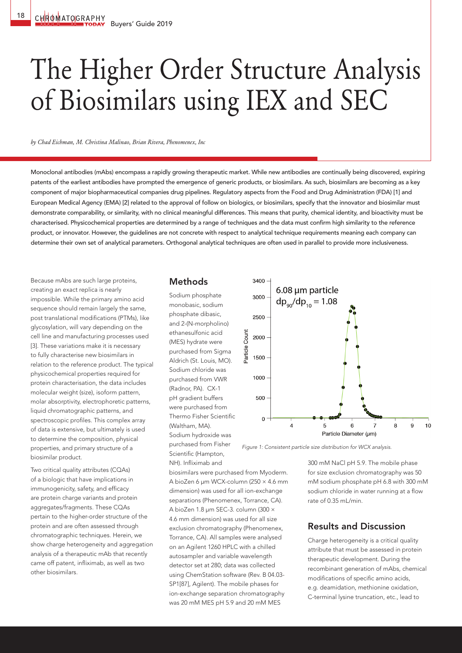# The Higher Order Structure Analysis of Biosimilars using IEX and SEC

*by Chad Eichman, M. Christina Malinao, Brian Rivera, Phenomenex, Inc*

Monoclonal antibodies (mAbs) encompass a rapidly growing therapeutic market. While new antibodies are continually being discovered, expiring patents of the earliest antibodies have prompted the emergence of generic products, or biosimilars. As such, biosimilars are becoming as a key component of major biopharmaceutical companies drug pipelines. Regulatory aspects from the Food and Drug Administration (FDA) [1] and European Medical Agency (EMA) [2] related to the approval of follow on biologics, or biosimilars, specify that the innovator and biosimilar must demonstrate comparability, or similarity, with no clinical meaningful differences. This means that purity, chemical identity, and bioactivity must be characterised. Physicochemical properties are determined by a range of techniques and the data must confirm high similarity to the reference product, or innovator. However, the guidelines are not concrete with respect to analytical technique requirements meaning each company can determine their own set of analytical parameters. Orthogonal analytical techniques are often used in parallel to provide more inclusiveness.

Because mAbs are such large proteins, creating an exact replica is nearly impossible. While the primary amino acid sequence should remain largely the same, post translational modifications (PTMs), like glycosylation, will vary depending on the cell line and manufacturing processes used [3]. These variations make it is necessary to fully characterise new biosimilars in relation to the reference product. The typical physicochemical properties required for protein characterisation, the data includes molecular weight (size), isoform pattern, molar absorptivity, electrophoretic patterns, liquid chromatographic patterns, and spectroscopic profiles. This complex array of data is extensive, but ultimately is used to determine the composition, physical properties, and primary structure of a biosimilar product.

Two critical quality attributes (CQAs) of a biologic that have implications in immunogenicity, safety, and efficacy are protein charge variants and protein aggregates/fragments. These CQAs pertain to the higher-order structure of the protein and are often assessed through chromatographic techniques. Herein, we show charge heterogeneity and aggregation analysis of a therapeutic mAb that recently came off patent, infliximab, as well as two other biosimilars.

#### Methods

Sodium phosphate monobasic, sodium phosphate dibasic, and 2-(N-morpholino) ethanesulfonic acid (MES) hydrate were purchased from Sigma Aldrich (St. Louis, MO). Sodium chloride was purchased from VWR (Radnor, PA). CX-1 pH gradient buffers were purchased from Thermo Fisher Scientific (Waltham, MA). Sodium hydroxide was purchased from Fisher Scientific (Hampton, NH). Infliximab and



*Figure 1: Consistent particle size distribution for WCX analysis.* 

300 mM NaCl pH 5.9. The mobile phase for size exclusion chromatography was 50 mM sodium phosphate pH 6.8 with 300 mM sodium chloride in water running at a flow rate of 0.35 mL/min.

## Results and Discussion

Charge heterogeneity is a critical quality attribute that must be assessed in protein therapeutic development. During the recombinant generation of mAbs, chemical modifications of specific amino acids, e.g. deamidation, methionine oxidation, C-terminal lysine truncation, etc., lead to

A bioZen 6 µm WCX-column (250 × 4.6 mm dimension) was used for all ion-exchange separations (Phenomenex, Torrance, CA). A bioZen 1.8 µm SEC-3. column (300 × 4.6 mm dimension) was used for all size exclusion chromatography (Phenomenex, Torrance, CA). All samples were analysed on an Agilent 1260 HPLC with a chilled autosampler and variable wavelength detector set at 280; data was collected using ChemStation software (Rev. B 04.03- SP1[87], Agilent). The mobile phases for ion-exchange separation chromatography was 20 mM MES pH 5.9 and 20 mM MES

biosimilars were purchased from Myoderm.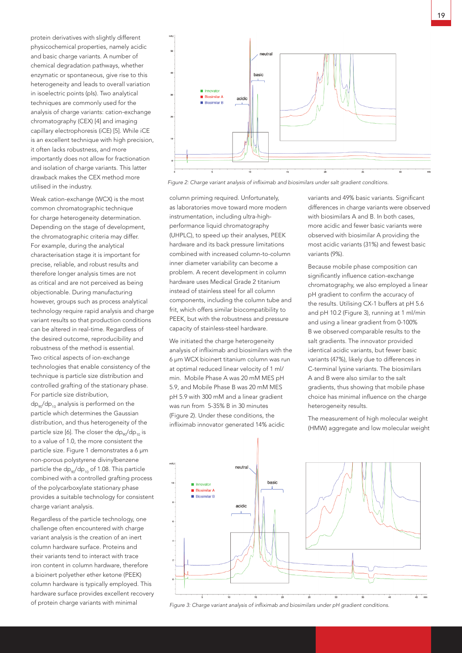protein derivatives with slightly different physicochemical properties, namely acidic and basic charge variants. A number of chemical degradation pathways, whether enzymatic or spontaneous, give rise to this heterogeneity and leads to overall variation in isoelectric points (pIs). Two analytical techniques are commonly used for the analysis of charge variants: cation-exchange chromatography (CEX) [4] and imaging capillary electrophoresis (iCE) [5]. While iCE is an excellent technique with high precision, it often lacks robustness, and more importantly does not allow for fractionation and isolation of charge variants. This latter drawback makes the CEX method more utilised in the industry.

Weak cation-exchange (WCX) is the most common chromatographic technique for charge heterogeneity determination. Depending on the stage of development, the chromatographic criteria may differ. For example, during the analytical characterisation stage it is important for precise, reliable, and robust results and therefore longer analysis times are not as critical and are not perceived as being objectionable. During manufacturing however, groups such as process analytical technology require rapid analysis and charge variant results so that production conditions can be altered in real-time. Regardless of the desired outcome, reproducibility and robustness of the method is essential. Two critical aspects of ion-exchange technologies that enable consistency of the technique is particle size distribution and controlled grafting of the stationary phase. For particle size distribution,  $dp_{90}/dp_{10}$  analysis is performed on the particle which determines the Gaussian distribution, and thus heterogeneity of the particle size [6]. The closer the  $dp_{90}/dp_{10}$  is to a value of 1.0, the more consistent the particle size. Figure 1 demonstrates a 6 µm non-porous polystyrene divinylbenzene particle the  $dp_{90}/dp_{10}$  of 1.08. This particle combined with a controlled grafting process of the polycarboxylate stationary phase provides a suitable technology for consistent charge variant analysis.

Regardless of the particle technology, one challenge often encountered with charge variant analysis is the creation of an inert column hardware surface. Proteins and their variants tend to interact with trace iron content in column hardware, therefore a bioinert polyether ether ketone (PEEK) column hardware is typically employed. This hardware surface provides excellent recovery of protein charge variants with minimal



*Figure 2: Charge variant analysis of infliximab and biosimilars under salt gradient conditions.*

column priming required. Unfortunately, as laboratories move toward more modern instrumentation, including ultra-highperformance liquid chromatography (UHPLC), to speed up their analyses, PEEK hardware and its back pressure limitations combined with increased column-to-column inner diameter variability can become a problem. A recent development in column hardware uses Medical Grade 2 titanium instead of stainless steel for all column components, including the column tube and frit, which offers similar biocompatibility to PEEK, but with the robustness and pressure capacity of stainless-steel hardware.

We initiated the charge heterogeneity analysis of infliximab and biosimilars with the 6 µm WCX bioinert titanium column was run at optimal reduced linear velocity of 1 ml/ min. Mobile Phase A was 20 mM MES pH 5.9, and Mobile Phase B was 20 mM MES pH 5.9 with 300 mM and a linear gradient was run from 5-35% B in 30 minutes (Figure 2). Under these conditions, the infliximab innovator generated 14% acidic

variants and 49% basic variants. Significant differences in charge variants were observed with biosimilars A and B. In both cases, more acidic and fewer basic variants were observed with biosimilar A providing the most acidic variants (31%) and fewest basic variants (9%).

Because mobile phase composition can significantly influence cation-exchange chromatography, we also employed a linear pH gradient to confirm the accuracy of the results. Utilising CX-1 buffers at pH 5.6 and pH 10.2 (Figure 3), running at 1 ml/min and using a linear gradient from 0-100% B we observed comparable results to the salt gradients. The innovator provided identical acidic variants, but fewer basic variants (47%), likely due to differences in C-terminal lysine variants. The biosimilars A and B were also similar to the salt gradients, thus showing that mobile phase choice has minimal influence on the charge heterogeneity results.

The measurement of high molecular weight (HMW) aggregate and low molecular weight